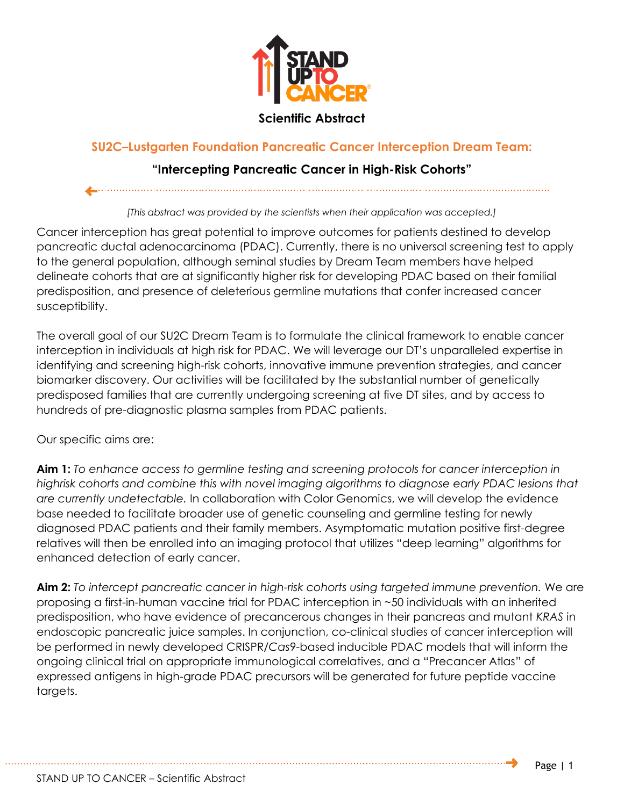

## **Scientific Abstract**

## **SU2C–Lustgarten Foundation Pancreatic Cancer Interception Dream Team:**

## **"Intercepting Pancreatic Cancer in High-Risk Cohorts"**

*[This abstract was provided by the scientists when their application was accepted.]*

Cancer interception has great potential to improve outcomes for patients destined to develop pancreatic ductal adenocarcinoma (PDAC). Currently, there is no universal screening test to apply to the general population, although seminal studies by Dream Team members have helped delineate cohorts that are at significantly higher risk for developing PDAC based on their familial predisposition, and presence of deleterious germline mutations that confer increased cancer susceptibility.

The overall goal of our SU2C Dream Team is to formulate the clinical framework to enable cancer interception in individuals at high risk for PDAC. We will leverage our DT's unparalleled expertise in identifying and screening high-risk cohorts, innovative immune prevention strategies, and cancer biomarker discovery. Our activities will be facilitated by the substantial number of genetically predisposed families that are currently undergoing screening at five DT sites, and by access to hundreds of pre-diagnostic plasma samples from PDAC patients.

Our specific aims are:

**Aim 1:** *To enhance access to germline testing and screening protocols for cancer interception in highrisk cohorts and combine this with novel imaging algorithms to diagnose early PDAC lesions that are currently undetectable.* In collaboration with Color Genomics, we will develop the evidence base needed to facilitate broader use of genetic counseling and germline testing for newly diagnosed PDAC patients and their family members. Asymptomatic mutation positive first-degree relatives will then be enrolled into an imaging protocol that utilizes "deep learning" algorithms for enhanced detection of early cancer.

**Aim 2:** *To intercept pancreatic cancer in high-risk cohorts using targeted immune prevention.* We are proposing a first-in-human vaccine trial for PDAC interception in ~50 individuals with an inherited predisposition, who have evidence of precancerous changes in their pancreas and mutant *KRAS* in endoscopic pancreatic juice samples. In conjunction, co-clinical studies of cancer interception will be performed in newly developed CRISPR/*Cas*9-based inducible PDAC models that will inform the ongoing clinical trial on appropriate immunological correlatives, and a "Precancer Atlas" of expressed antigens in high-grade PDAC precursors will be generated for future peptide vaccine targets.